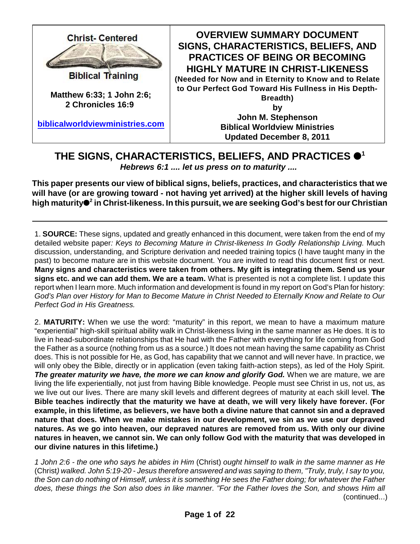

**OVERVIEW SUMMARY DOCUMENT SIGNS, CHARACTERISTICS, BELIEFS, AND PRACTICES OF BEING OR BECOMING HIGHLY MATURE IN CHRIST-LIKENESS**

**(Needed for Now and in Eternity to Know and to Relate to Our Perfect God Toward His Fullness in His Depth-**

**Breadth)**

**by John M. Stephenson Biblical Worldview Ministries Updated December 8, 2011**

## **THE SIGNS, CHARACTERISTICS, BELIEFS, AND PRACTICES 1** *Hebrews 6:1 .... let us press on to maturity ....*

**This paper presents our view of biblical signs, beliefs, practices, and characteristics that we will have (or are growing toward - not having yet arrived) at the higher skill levels of having high maturity in Christ-likeness. In this pursuit, we are seeking God's best for our Christian <sup>2</sup>**

1. **SOURCE:** These signs, updated and greatly enhanced in this document, were taken from the end of my detailed website paper*: Keys to Becoming Mature in Christ-likeness In Godly Relationship Living.* Much discussion, understanding, and Scripture derivation and needed training topics (I have taught many in the past) to become mature are in this website document. You are invited to read this document first or next. **Many signs and characteristics were taken from others. My gift is integrating them. Send us your signs etc. and we can add them. We are a team.** What is presented is not a complete list. I update this report when I learn more. Much information and development is found in my report on God's Plan for history: *God's Plan over History for Man to Become Mature in Christ Needed to Eternally Know and Relate to Our Perfect God in His Greatness.*

2. **MATURITY:** When we use the word: "maturity" in this report, we mean to have a maximum mature "experiential" high-skill spiritual ability walk in Christ-likeness living in the same manner as He does. It is to live in head-subordinate relationships that He had with the Father with everything for life coming from God the Father as a source (nothing from us as a source.) It does not mean having the same capability as Christ does. This is not possible for He, as God, has capability that we cannot and will never have. In practice, we will only obey the Bible, directly or in application (even taking faith-action steps), as led of the Holy Spirit. *The greater maturity we have, the more we can know and glorify God.* When we are mature, we are living the life experientially, not just from having Bible knowledge. People must see Christ in us, not us, as we live out our lives. There are many skill levels and different degrees of maturity at each skill level. **The Bible teaches indirectly that the maturity we have at death, we will very likely have forever. (For example, in this lifetime, as believers, we have both a divine nature that cannot sin and a depraved nature that does. When we make mistakes in our development, we sin as we use our depraved natures. As we go into heaven, our depraved natures are removed from us. With only our divine natures in heaven, we cannot sin. We can only follow God with the maturity that was developed in our divine natures in this lifetime.)**

*1 John 2:6 - the one who says he abides in Him* (Christ) *ought himself to walk in the same manner as He* (Christ*) walked. John 5:19-20 - Jesus therefore answered and was saying to them, "Truly, truly, I say to you, the Son can do nothing of Himself, unless it is something He sees the Father doing; for whatever the Father does, these things the Son also does in like manner. "For the Father loves the Son, and shows Him all* (continued...)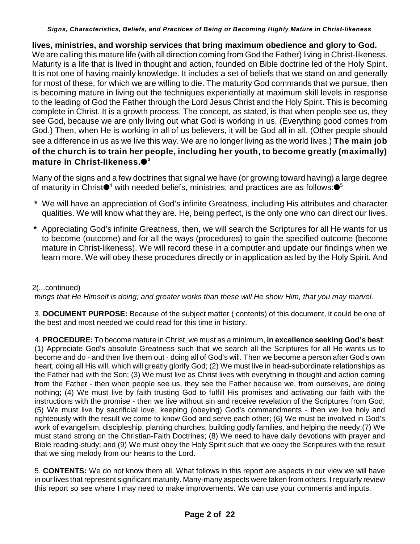**lives, ministries, and worship services that bring maximum obedience and glory to God.**  We are calling this mature life (with all direction coming from God the Father) living in Christ-likeness. Maturity is a life that is lived in thought and action, founded on Bible doctrine led of the Holy Spirit. It is not one of having mainly knowledge. It includes a set of beliefs that we stand on and generally for most of these, for which we are willing to die. The maturity God commands that we pursue, then is becoming mature in living out the techniques experientially at maximum skill levels in response to the leading of God the Father through the Lord Jesus Christ and the Holy Spirit. This is becoming complete in Christ. It is a growth process. The concept, as stated, is that when people see us, they see God, because we are only living out what God is working in us. (Everything good comes from God.) Then, when He is working in all of us believers, it will be God all in all. (Other people should see a difference in us as we live this way. We are no longer living as the world lives.) **The main job of the church is to train her people, including her youth, to become greatly (maximally) mature in Christ-likeness. 3**

Many of the signs and a few doctrines that signal we have (or growing toward having) a large degree of maturity in Christ $\bullet^4$  with needed beliefs, ministries, and practices are as follows: $\bullet^5$ 

- **\*** We will have an appreciation of God's infinite Greatness, including His attributes and character qualities. We will know what they are. He, being perfect, is the only one who can direct our lives.
- **\*** Appreciating God's infinite Greatness, then, we will search the Scriptures for all He wants for us to become (outcome) and for all the ways (procedures) to gain the specified outcome (become mature in Christ-likeness). We will record these in a computer and update our findings when we learn more. We will obey these procedures directly or in application as led by the Holy Spirit. And

### 2(...continued)

*things that He Himself is doing; and greater works than these will He show Him, that you may marvel.*

3. **DOCUMENT PURPOSE:** Because of the subject matter ( contents) of this document, it could be one of the best and most needed we could read for this time in history.

4. **PROCEDURE:** To become mature in Christ, we must as a minimum, **in excellence seeking God's best**: (1) Appreciate God's absolute Greatness such that we search all the Scriptures for all He wants us to become and do - and then live them out - doing all of God's will. Then we become a person after God's own heart, doing all His will, which will greatly glorify God; (2) We must live in head-subordinate relationships as the Father had with the Son; (3) We must live as Christ lives with everything in thought and action coming from the Father - then when people see us, they see the Father because we, from ourselves, are doing nothing; (4) We must live by faith trusting God to fulfill His promises and activating our faith with the instructions with the promise - then we live without sin and receive revelation of the Scriptures from God; (5) We must live by sacrificial love, keeping (obeying) God's commandments - then we live holy and righteously with the result we come to know God and serve each other; (6) We must be involved in God's work of evangelism, discipleship, planting churches, building godly families, and helping the needy;(7) We must stand strong on the Christian-Faith Doctrines; (8) We need to have daily devotions with prayer and Bible reading-study; and (9) We must obey the Holy Spirit such that we obey the Scriptures with the result that we sing melody from our hearts to the Lord.

5. **CONTENTS:** We do not know them all. What follows in this report are aspects in our view we will have in our lives that represent significant maturity. Many-many aspects were taken from others. I regularly review this report so see where I may need to make improvements. We can use your comments and inputs.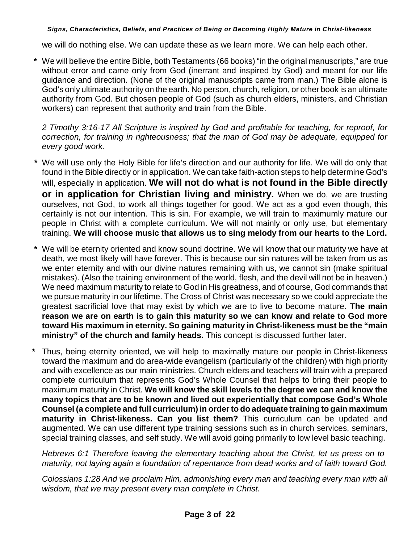we will do nothing else. We can update these as we learn more. We can help each other.

**\*** We will believe the entire Bible, both Testaments (66 books) "in the original manuscripts," are true without error and came only from God (inerrant and inspired by God) and meant for our life guidance and direction. (None of the original manuscripts came from man.) The Bible alone is God's only ultimate authority on the earth. No person, church, religion, or other book is an ultimate authority from God. But chosen people of God (such as church elders, ministers, and Christian workers) can represent that authority and train from the Bible.

*2 Timothy 3:16-17 All Scripture is inspired by God and profitable for teaching, for reproof, for correction, for training in righteousness; that the man of God may be adequate, equipped for every good work.*

- **\*** We will use only the Holy Bible for life's direction and our authority for life. We will do only that found in the Bible directly or in application. We can take faith-action steps to help determine God's will, especially in application. **We will not do what is not found in the Bible directly or in application for Christian living and ministry.** When we do, we are trusting ourselves, not God, to work all things together for good. We act as a god even though, this certainly is not our intention. This is sin. For example, we will train to maximumly mature our people in Christ with a complete curriculum. We will not mainly or only use, but elementary training. **We will choose music that allows us to sing melody from our hearts to the Lord.**
- **\*** We will be eternity oriented and know sound doctrine. We will know that our maturity we have at death, we most likely will have forever. This is because our sin natures will be taken from us as we enter eternity and with our divine natures remaining with us, we cannot sin (make spiritual mistakes). (Also the training environment of the world, flesh, and the devil will not be in heaven.) We need maximum maturity to relate to God in His greatness, and of course, God commands that we pursue maturity in our lifetime. The Cross of Christ was necessary so we could appreciate the greatest sacrificial love that may exist by which we are to live to become mature. **The main reason we are on earth is to gain this maturity so we can know and relate to God more toward His maximum in eternity. So gaining maturity in Christ-likeness must be the "main ministry" of the church and family heads.** This concept is discussed further later.
- **\*** Thus, being eternity oriented, we will help to maximally mature our people in Christ-likeness toward the maximum and do area-wide evangelism (particularly of the children) with high priority and with excellence as our main ministries. Church elders and teachers will train with a prepared complete curriculum that represents God's Whole Counsel that helps to bring their people to maximum maturity in Christ. **We will know the skill levels to the degree we can and know the many topics that are to be known and lived out experientially that compose God's Whole Counsel (a complete and full curriculum) in order to do adequate training to gain maximum maturity in Christ-likeness. Can you list them?** This curriculum can be updated and augmented. We can use different type training sessions such as in church services, seminars, special training classes, and self study. We will avoid going primarily to low level basic teaching.

*Hebrews 6:1 Therefore leaving the elementary teaching about the Christ, let us press on to maturity, not laying again a foundation of repentance from dead works and of faith toward God.*

*Colossians 1:28 And we proclaim Him, admonishing every man and teaching every man with all wisdom, that we may present every man complete in Christ.*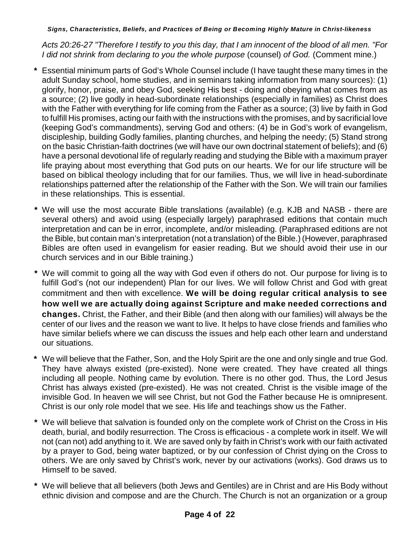*Acts 20:26-27 "Therefore I testify to you this day, that I am innocent of the blood of all men. "For I did not shrink from declaring to you the whole purpose* (counsel) *of God.* (Comment mine.)

- **\*** Essential minimum parts of God's Whole Counsel include (I have taught these many times in the adult Sunday school, home studies, and in seminars taking information from many sources): (1) glorify, honor, praise, and obey God, seeking His best - doing and obeying what comes from as a source; (2) live godly in head-subordinate relationships (especially in families) as Christ does with the Father with everything for life coming from the Father as a source; (3) live by faith in God to fulfill His promises, acting our faith with the instructions with the promises, and by sacrificial love (keeping God's commandments), serving God and others: (4) be in God's work of evangelism, discipleship, building Godly families, planting churches, and helping the needy; (5) Stand strong on the basic Christian-faith doctrines (we will have our own doctrinal statement of beliefs); and (6) have a personal devotional life of regularly reading and studying the Bible with a maximum prayer life praying about most everything that God puts on our hearts. We for our life structure will be based on biblical theology including that for our families. Thus, we will live in head-subordinate relationships patterned after the relationship of the Father with the Son. We will train our families in these relationships. This is essential.
- **\*** We will use the most accurate Bible translations (available) (e.g. KJB and NASB there are several others) and avoid using (especially largely) paraphrased editions that contain much interpretation and can be in error, incomplete, and/or misleading. (Paraphrased editions are not the Bible, but contain man's interpretation (not a translation) of the Bible.) (However, paraphrased Bibles are often used in evangelism for easier reading. But we should avoid their use in our church services and in our Bible training.)
- **\*** We will commit to going all the way with God even if others do not. Our purpose for living is to fulfill God's (not our independent) Plan for our lives. We will follow Christ and God with great commitment and then with excellence. **We will be doing regular critical analysis to see how well we are actually doing against Scripture and make needed corrections and changes.** Christ, the Father, and their Bible (and then along with our families) will always be the center of our lives and the reason we want to live. It helps to have close friends and families who have similar beliefs where we can discuss the issues and help each other learn and understand our situations.
- **\*** We will believe that the Father, Son, and the Holy Spirit are the one and only single and true God. They have always existed (pre-existed). None were created. They have created all things including all people. Nothing came by evolution. There is no other god. Thus, the Lord Jesus Christ has always existed (pre-existed). He was not created. Christ is the visible image of the invisible God. In heaven we will see Christ, but not God the Father because He is omnipresent. Christ is our only role model that we see. His life and teachings show us the Father.
- **\*** We will believe that salvation is founded only on the complete work of Christ on the Cross in His death, burial, and bodily resurrection. The Cross is efficacious - a complete work in itself. We will not (can not) add anything to it. We are saved only by faith in Christ's work with our faith activated by a prayer to God, being water baptized, or by our confession of Christ dying on the Cross to others. We are only saved by Christ's work, never by our activations (works). God draws us to Himself to be saved.
- **\*** We will believe that all believers (both Jews and Gentiles) are in Christ and are His Body without ethnic division and compose and are the Church. The Church is not an organization or a group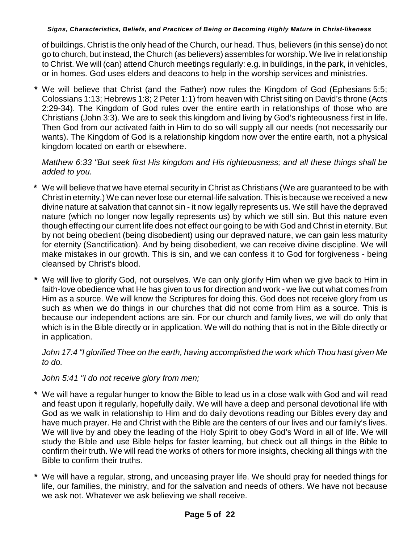of buildings. Christ is the only head of the Church, our head. Thus, believers (in this sense) do not go to church, but instead, the Church (as believers) assembles for worship. We live in relationship to Christ. We will (can) attend Church meetings regularly: e.g. in buildings, in the park, in vehicles, or in homes. God uses elders and deacons to help in the worship services and ministries.

 **\*** We will believe that Christ (and the Father) now rules the Kingdom of God (Ephesians 5:5; Colossians 1:13; Hebrews 1:8; 2 Peter 1:1) from heaven with Christ siting on David's throne (Acts 2:29-34). The Kingdom of God rules over the entire earth in relationships of those who are Christians (John 3:3). We are to seek this kingdom and living by God's righteousness first in life. Then God from our activated faith in Him to do so will supply all our needs (not necessarily our wants). The Kingdom of God is a relationship kingdom now over the entire earth, not a physical kingdom located on earth or elsewhere.

## *Matthew 6:33 "But seek first His kingdom and His righteousness; and all these things shall be added to you.*

- **\*** We will believe that we have eternal security in Christ as Christians (We are guaranteed to be with Christ in eternity.) We can never lose our eternal-life salvation. This is because we received a new divine nature at salvation that cannot sin - it now legally represents us. We still have the depraved nature (which no longer now legally represents us) by which we still sin. But this nature even though effecting our current life does not effect our going to be with God and Christ in eternity. But by not being obedient (being disobedient) using our depraved nature, we can gain less maturity for eternity (Sanctification). And by being disobedient, we can receive divine discipline. We will make mistakes in our growth. This is sin, and we can confess it to God for forgiveness - being cleansed by Christ's blood.
- **\*** We will live to glorify God, not ourselves. We can only glorify Him when we give back to Him in faith-love obedience what He has given to us for direction and work - we live out what comes from Him as a source. We will know the Scriptures for doing this. God does not receive glory from us such as when we do things in our churches that did not come from Him as a source. This is because our independent actions are sin. For our church and family lives, we will do only that which is in the Bible directly or in application. We will do nothing that is not in the Bible directly or in application.

### *John 17:4 "I glorified Thee on the earth, having accomplished the work which Thou hast given Me to do.*

## *John 5:41 "I do not receive glory from men;*

- **\*** We will have a regular hunger to know the Bible to lead us in a close walk with God and will read and feast upon it regularly, hopefully daily. We will have a deep and personal devotional life with God as we walk in relationship to Him and do daily devotions reading our Bibles every day and have much prayer. He and Christ with the Bible are the centers of our lives and our family's lives. We will live by and obey the leading of the Holy Spirit to obey God's Word in all of life. We will study the Bible and use Bible helps for faster learning, but check out all things in the Bible to confirm their truth. We will read the works of others for more insights, checking all things with the Bible to confirm their truths.
- **\*** We will have a regular, strong, and unceasing prayer life. We should pray for needed things for life, our families, the ministry, and for the salvation and needs of others. We have not because we ask not. Whatever we ask believing we shall receive.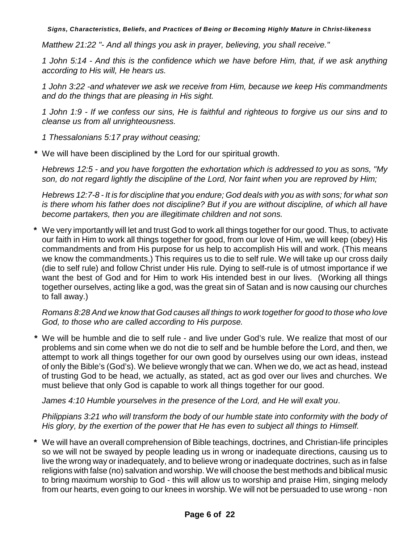*Matthew 21:22 "- And all things you ask in prayer, believing, you shall receive."*

*1 John 5:14 - And this is the confidence which we have before Him, that, if we ask anything according to His will, He hears us.*

*1 John 3:22 -and whatever we ask we receive from Him, because we keep His commandments and do the things that are pleasing in His sight.*

*1 John 1:9 - If we confess our sins, He is faithful and righteous to forgive us our sins and to cleanse us from all unrighteousness.*

*1 Thessalonians 5:17 pray without ceasing;*

 **\*** We will have been disciplined by the Lord for our spiritual growth.

*Hebrews 12:5 - and you have forgotten the exhortation which is addressed to you as sons, "My son, do not regard lightly the discipline of the Lord, Nor faint when you are reproved by Him;*

*Hebrews 12:7-8 - It is for discipline that you endure; God deals with you as with sons; for what son is there whom his father does not discipline? But if you are without discipline, of which all have become partakers, then you are illegitimate children and not sons.*

**\*** We very importantly will let and trust God to work all things together for our good. Thus, to activate our faith in Him to work all things together for good, from our love of Him, we will keep (obey) His commandments and from His purpose for us help to accomplish His will and work. (This means we know the commandments.) This requires us to die to self rule. We will take up our cross daily (die to self rule) and follow Christ under His rule. Dying to self-rule is of utmost importance if we want the best of God and for Him to work His intended best in our lives. (Working all things together ourselves, acting like a god, was the great sin of Satan and is now causing our churches to fall away.)

*Romans 8:28 And we know that God causes all things to work together for good to those who love God, to those who are called according to His purpose.*

 **\*** We will be humble and die to self rule - and live under God's rule. We realize that most of our problems and sin come when we do not die to self and be humble before the Lord, and then, we attempt to work all things together for our own good by ourselves using our own ideas, instead of only the Bible's (God's). We believe wrongly that we can. When we do, we act as head, instead of trusting God to be head, we actually, as stated, act as god over our lives and churches. We must believe that only God is capable to work all things together for our good.

*James 4:10 Humble yourselves in the presence of the Lord, and He will exalt you*.

*Philippians 3:21 who will transform the body of our humble state into conformity with the body of His glory, by the exertion of the power that He has even to subject all things to Himself.*

**\*** We will have an overall comprehension of Bible teachings, doctrines, and Christian-life principles so we will not be swayed by people leading us in wrong or inadequate directions, causing us to live the wrong way or inadequately, and to believe wrong or inadequate doctrines, such as in false religions with false (no) salvation and worship. We will choose the best methods and biblical music to bring maximum worship to God - this will allow us to worship and praise Him, singing melody from our hearts, even going to our knees in worship. We will not be persuaded to use wrong - non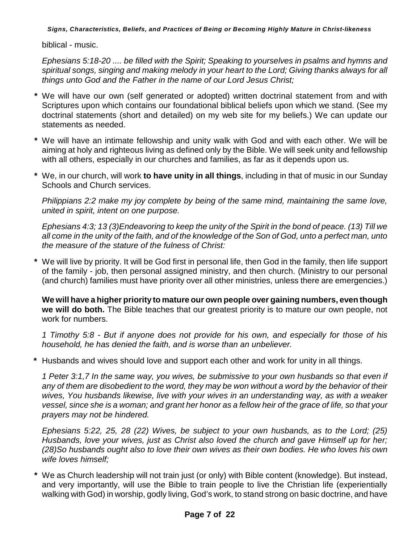biblical - music.

*Ephesians 5:18-20 .... be filled with the Spirit; Speaking to yourselves in psalms and hymns and spiritual songs, singing and making melody in your heart to the Lord; Giving thanks always for all things unto God and the Father in the name of our Lord Jesus Christ;*

- **\*** We will have our own (self generated or adopted) written doctrinal statement from and with Scriptures upon which contains our foundational biblical beliefs upon which we stand. (See my doctrinal statements (short and detailed) on my web site for my beliefs.) We can update our statements as needed.
- **\*** We will have an intimate fellowship and unity walk with God and with each other. We will be aiming at holy and righteous living as defined only by the Bible. We will seek unity and fellowship with all others, especially in our churches and families, as far as it depends upon us.
- **\*** We, in our church, will work **to have unity in all things**, including in that of music in our Sunday Schools and Church services.

*Philippians 2:2 make my joy complete by being of the same mind, maintaining the same love, united in spirit, intent on one purpose.*

*Ephesians 4:3; 13 (3)Endeavoring to keep the unity of the Spirit in the bond of peace. (13) Till we all come in the unity of the faith, and of the knowledge of the Son of God, unto a perfect man, unto the measure of the stature of the fulness of Christ:*

**\*** We will live by priority. It will be God first in personal life, then God in the family, then life support of the family - job, then personal assigned ministry, and then church. (Ministry to our personal (and church) families must have priority over all other ministries, unless there are emergencies.)

**We will have a higher priority to mature our own people over gaining numbers, even though we will do both.** The Bible teaches that our greatest priority is to mature our own people, not work for numbers.

*1 Timothy 5:8 - But if anyone does not provide for his own, and especially for those of his household, he has denied the faith, and is worse than an unbeliever.*

**\*** Husbands and wives should love and support each other and work for unity in all things.

*1 Peter 3:1,7 In the same way, you wives, be submissive to your own husbands so that even if any of them are disobedient to the word, they may be won without a word by the behavior of their wives, You husbands likewise, live with your wives in an understanding way, as with a weaker vessel, since she is a woman; and grant her honor as a fellow heir of the grace of life, so that your prayers may not be hindered.*

*Ephesians 5:22, 25, 28 (22) Wives, be subject to your own husbands, as to the Lord; (25) Husbands, love your wives, just as Christ also loved the church and gave Himself up for her; (28)So husbands ought also to love their own wives as their own bodies. He who loves his own wife loves himself;*

**\*** We as Church leadership will not train just (or only) with Bible content (knowledge). But instead, and very importantly, will use the Bible to train people to live the Christian life (experientially walking with God) in worship, godly living, God's work, to stand strong on basic doctrine, and have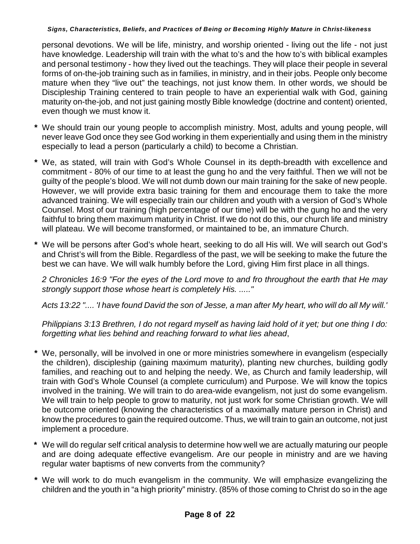personal devotions. We will be life, ministry, and worship oriented - living out the life - not just have knowledge. Leadership will train with the what to's and the how to's with biblical examples and personal testimony - how they lived out the teachings. They will place their people in several forms of on-the-job training such as in families, in ministry, and in their jobs. People only become mature when they "live out" the teachings, not just know them. In other words, we should be Discipleship Training centered to train people to have an experiential walk with God, gaining maturity on-the-job, and not just gaining mostly Bible knowledge (doctrine and content) oriented, even though we must know it.

- **\*** We should train our young people to accomplish ministry. Most, adults and young people, will never leave God once they see God working in them experientially and using them in the ministry especially to lead a person (particularly a child) to become a Christian.
- **\*** We, as stated, will train with God's Whole Counsel in its depth-breadth with excellence and commitment - 80% of our time to at least the gung ho and the very faithful. Then we will not be guilty of the people's blood. We will not dumb down our main training for the sake of new people. However, we will provide extra basic training for them and encourage them to take the more advanced training. We will especially train our children and youth with a version of God's Whole Counsel. Most of our training (high percentage of our time) will be with the gung ho and the very faithful to bring them maximum maturity in Christ. If we do not do this, our church life and ministry will plateau. We will become transformed, or maintained to be, an immature Church.
- **\*** We will be persons after God's whole heart, seeking to do all His will. We will search out God's and Christ's will from the Bible. Regardless of the past, we will be seeking to make the future the best we can have. We will walk humbly before the Lord, giving Him first place in all things.

*2 Chronicles 16:9 "For the eyes of the Lord move to and fro throughout the earth that He may strongly support those whose heart is completely His. ....."*

*Acts 13:22 ".... 'I have found David the son of Jesse, a man after My heart, who will do all My will.'*

*Philippians 3:13 Brethren, I do not regard myself as having laid hold of it yet; but one thing I do: forgetting what lies behind and reaching forward to what lies ahead*,

- We, personally, will be involved in one or more ministries somewhere in evangelism (especially the children), discipleship (gaining maximum maturity), planting new churches, building godly families, and reaching out to and helping the needy. We, as Church and family leadership, will train with God's Whole Counsel (a complete curriculum) and Purpose. We will know the topics involved in the training. We will train to do area-wide evangelism, not just do some evangelism. We will train to help people to grow to maturity, not just work for some Christian growth. We will be outcome oriented (knowing the characteristics of a maximally mature person in Christ) and know the procedures to gain the required outcome. Thus, we will train to gain an outcome, not just implement a procedure.
- **\*** We will do regular self critical analysis to determine how well we are actually maturing our people and are doing adequate effective evangelism. Are our people in ministry and are we having regular water baptisms of new converts from the community?
- **\*** We will work to do much evangelism in the community. We will emphasize evangelizing the children and the youth in "a high priority" ministry. (85% of those coming to Christ do so in the age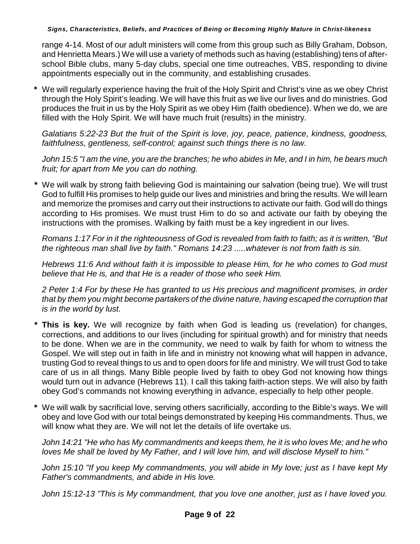range 4-14. Most of our adult ministers will come from this group such as Billy Graham, Dobson, and Henrietta Mears.) We will use a variety of methods such as having (establishing) tens of afterschool Bible clubs, many 5-day clubs, special one time outreaches, VBS, responding to divine appointments especially out in the community, and establishing crusades.

**\*** We will regularly experience having the fruit of the Holy Spirit and Christ's vine as we obey Christ through the Holy Spirit's leading. We will have this fruit as we live our lives and do ministries. God produces the fruit in us by the Holy Spirit as we obey Him (faith obedience). When we do, we are filled with the Holy Spirit. We will have much fruit (results) in the ministry.

*Galatians 5:22-23 But the fruit of the Spirit is love, joy, peace, patience, kindness, goodness, faithfulness, gentleness, self-control; against such things there is no law.*

*John 15:5 "I am the vine, you are the branches; he who abides in Me, and I in him, he bears much fruit; for apart from Me you can do nothing.*

 **\*** We will walk by strong faith believing God is maintaining our salvation (being true). We will trust God to fulfill His promises to help guide our lives and ministries and bring the results. We will learn and memorize the promises and carry out their instructions to activate our faith. God will do things according to His promises. We must trust Him to do so and activate our faith by obeying the instructions with the promises. Walking by faith must be a key ingredient in our lives.

*Romans 1:17 For in it the righteousness of God is revealed from faith to faith; as it is written, "But the righteous man shall live by faith." Romans 14:23 .....whatever is not from faith is sin.*

*Hebrews 11:6 And without faith it is impossible to please Him, for he who comes to God must believe that He is, and that He is a reader of those who seek Him.*

*2 Peter 1:4 For by these He has granted to us His precious and magnificent promises, in order that by them you might become partakers of the divine nature, having escaped the corruption that is in the world by lust.*

- **This is key.** We will recognize by faith when God is leading us (revelation) for changes, corrections, and additions to our lives (including for spiritual growth) and for ministry that needs to be done. When we are in the community, we need to walk by faith for whom to witness the Gospel. We will step out in faith in life and in ministry not knowing what will happen in advance, trusting God to reveal things to us and to open doors for life and ministry. We will trust God to take care of us in all things. Many Bible people lived by faith to obey God not knowing how things would turn out in advance (Hebrews 11). I call this taking faith-action steps. We will also by faith obey God's commands not knowing everything in advance, especially to help other people.
- **\*** We will walk by sacrificial love, serving others sacrificially, according to the Bible's ways. We will obey and love God with our total beings demonstrated by keeping His commandments. Thus, we will know what they are. We will not let the details of life overtake us.

*John 14:21 "He who has My commandments and keeps them, he it is who loves Me; and he who loves Me shall be loved by My Father, and I will love him, and will disclose Myself to him."*

*John 15:10 "If you keep My commandments, you will abide in My love; just as I have kept My Father's commandments, and abide in His love.*

*John 15:12-13 "This is My commandment, that you love one another, just as I have loved you.*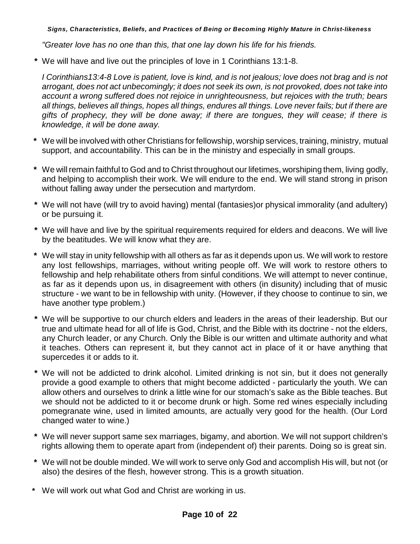*"Greater love has no one than this, that one lay down his life for his friends.*

 **\*** We will have and live out the principles of love in 1 Corinthians 13:1-8.

*I Corinthians13:4-8 Love is patient, love is kind, and is not jealous; love does not brag and is not arrogant, does not act unbecomingly; it does not seek its own, is not provoked, does not take into account a wrong suffered does not rejoice in unrighteousness, but rejoices with the truth; bears all things, believes all things, hopes all things, endures all things. Love never fails; but if there are gifts of prophecy, they will be done away; if there are tongues, they will cease; if there is knowledge, it will be done away.*

- **\*** We will be involved with other Christians for fellowship, worship services, training, ministry, mutual support, and accountability. This can be in the ministry and especially in small groups.
- **\*** We will remain faithful to God and to Christ throughout our lifetimes, worshiping them, living godly, and helping to accomplish their work. We will endure to the end. We will stand strong in prison without falling away under the persecution and martyrdom.
- **\*** We will not have (will try to avoid having) mental (fantasies)or physical immorality (and adultery) or be pursuing it.
- **\*** We will have and live by the spiritual requirements required for elders and deacons. We will live by the beatitudes. We will know what they are.
- **\*** We will stay in unity fellowship with all others as far as it depends upon us. We will work to restore any lost fellowships, marriages, without writing people off. We will work to restore others to fellowship and help rehabilitate others from sinful conditions. We will attempt to never continue, as far as it depends upon us, in disagreement with others (in disunity) including that of music structure - we want to be in fellowship with unity. (However, if they choose to continue to sin, we have another type problem.)
- **\*** We will be supportive to our church elders and leaders in the areas of their leadership. But our true and ultimate head for all of life is God, Christ, and the Bible with its doctrine - not the elders, any Church leader, or any Church. Only the Bible is our written and ultimate authority and what it teaches. Others can represent it, but they cannot act in place of it or have anything that supercedes it or adds to it.
- **\*** We will not be addicted to drink alcohol. Limited drinking is not sin, but it does not generally provide a good example to others that might become addicted - particularly the youth. We can allow others and ourselves to drink a little wine for our stomach's sake as the Bible teaches. But we should not be addicted to it or become drunk or high. Some red wines especially including pomegranate wine, used in limited amounts, are actually very good for the health. (Our Lord changed water to wine.)
- **\*** We will never support same sex marriages, bigamy, and abortion. We will not support children's rights allowing them to operate apart from (independent of) their parents. Doing so is great sin.
- **\*** We will not be double minded. We will work to serve only God and accomplish His will, but not (or also) the desires of the flesh, however strong. This is a growth situation.
- **\*** We will work out what God and Christ are working in us.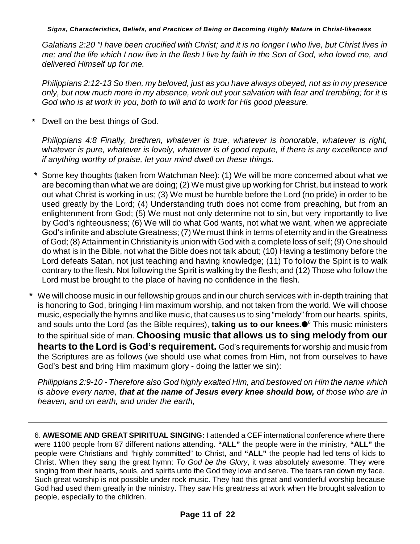*Galatians 2:20 "I have been crucified with Christ; and it is no longer I who live, but Christ lives in me; and the life which I now live in the flesh I live by faith in the Son of God, who loved me, and delivered Himself up for me.*

*Philippians 2:12-13 So then, my beloved, just as you have always obeyed, not as in my presence only, but now much more in my absence, work out your salvation with fear and trembling; for it is God who is at work in you, both to will and to work for His good pleasure.*

**\*** Dwell on the best things of God.

*Philippians 4:8 Finally, brethren, whatever is true, whatever is honorable, whatever is right, whatever is pure, whatever is lovely, whatever is of good repute, if there is any excellence and if anything worthy of praise, let your mind dwell on these things.*

- **\*** Some key thoughts (taken from Watchman Nee): (1) We will be more concerned about what we are becoming than what we are doing; (2) We must give up working for Christ, but instead to work out what Christ is working in us; (3) We must be humble before the Lord (no pride) in order to be used greatly by the Lord; (4) Understanding truth does not come from preaching, but from an enlightenment from God; (5) We must not only determine not to sin, but very importantly to live by God's righteousness; (6) We will do what God wants, not what we want, when we appreciate God's infinite and absolute Greatness; (7) We must think in terms of eternity and in the Greatness of God; (8) Attainment in Christianity is union with God with a complete loss of self; (9) One should do what is in the Bible, not what the Bible does not talk about; (10) Having a testimony before the Lord defeats Satan, not just teaching and having knowledge; (11) To follow the Spirit is to walk contrary to the flesh. Not following the Spirit is walking by the flesh; and (12) Those who follow the Lord must be brought to the place of having no confidence in the flesh.
- **\*** We will choose music in our fellowship groups and in our church services with in-depth training that is honoring to God, bringing Him maximum worship, and not taken from the world. We will choose music, especially the hymns and like music, that causes us to sing "melody" from our hearts, spirits, and souls unto the Lord (as the Bible requires), **taking us to our knees.**<sup>6</sup> This music ministers to the spiritual side of man. **Choosing music that allows us to sing melody from our hearts to the Lord is God's requirement.** God's requirements for worship and music from the Scriptures are as follows (we should use what comes from Him, not from ourselves to have God's best and bring Him maximum glory - doing the latter we sin):

*Philippians 2:9-10 - Therefore also God highly exalted Him, and bestowed on Him the name which is above every name, that at the name of Jesus every knee should bow, of those who are in heaven, and on earth, and under the earth,*

6. **AWESOME AND GREAT SPIRITUAL SINGING:** I attended a CEF international conference where there were 1100 people from 87 different nations attending. **"ALL"** the people were in the ministry, **"ALL"** the people were Christians and "highly committed" to Christ, and **"ALL"** the people had led tens of kids to Christ. When they sang the great hymn: *To God be the Glory*, it was absolutely awesome. They were singing from their hearts, souls, and spirits unto the God they love and serve. The tears ran down my face. Such great worship is not possible under rock music. They had this great and wonderful worship because God had used them greatly in the ministry. They saw His greatness at work when He brought salvation to people, especially to the children.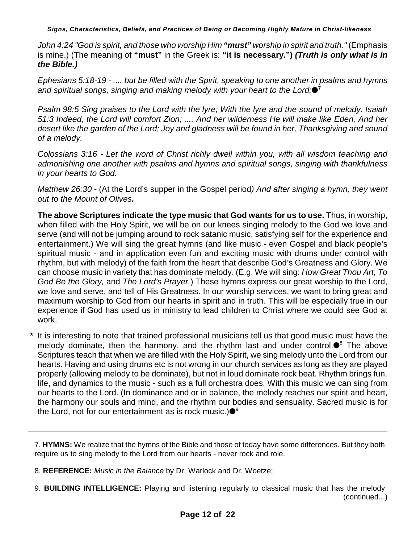*John 4:24 "God is spirit, and those who worship Him "must" worship in spirit and truth."* (Emphasis is mine.) (The meaning of **"must"** in the Greek is: **"it is necessary.")** *(Truth is only what is in the Bible.)*

*Ephesians 5:18-19 - .... but be filled with the Spirit, speaking to one another in psalms and hymns and spiritual songs, singing and making melody with your heart to the Lord;* **7**

*Psalm 98:5 Sing praises to the Lord with the lyre; With the lyre and the sound of melody. Isaiah 51:3 Indeed, the Lord will comfort Zion; .... And her wilderness He will make like Eden, And her desert like the garden of the Lord; Joy and gladness will be found in her, Thanksgiving and sound of a melody.*

*Colossians 3:16 - Let the word of Christ richly dwell within you, with all wisdom teaching and admonishing one another with psalms and hymns and spiritual songs, singing with thankfulness in your hearts to God.*

*Matthew 26:30* - (At the Lord's supper in the Gospel period*) And after singing a hymn, they went out to the Mount of Olives.*

**The above Scriptures indicate the type music that God wants for us to use.** Thus, in worship, when filled with the Holy Spirit, we will be on our knees singing melody to the God we love and serve (and will not be jumping around to rock satanic music, satisfying self for the experience and entertainment.) We will sing the great hymns (and like music - even Gospel and black people's spiritual music - and in application even fun and exciting music with drums under control with rhythm, but with melody) of the faith from the heart that describe God's Greatness and Glory. We can choose music in variety that has dominate melody. (E.g. We will sing: *How Great Thou Art, To God Be the Glory,* and *The Lord's Prayer.*) These hymns express our great worship to the Lord, we love and serve, and tell of His Greatness. In our worship services, we want to bring great and maximum worship to God from our hearts in spirit and in truth. This will be especially true in our experience if God has used us in ministry to lead children to Christ where we could see God at work.

 **\*** It is interesting to note that trained professional musicians tell us that good music must have the melody dominate, then the harmony, and the rhythm last and under control. $\bullet^8$  The above Scriptures teach that when we are filled with the Holy Spirit, we sing melody unto the Lord from our hearts. Having and using drums etc is not wrong in our church services as long as they are played properly (allowing melody to be dominate), but not in loud dominate rock beat. Rhythm brings fun, life, and dynamics to the music - such as a full orchestra does. With this music we can sing from our hearts to the Lord. (In dominance and or in balance, the melody reaches our spirit and heart, the harmony our souls and mind, and the rhythm our bodies and sensuality. Sacred music is for the Lord, not for our entertainment as is rock music.) $\bullet^{\mathsf{g}}$ 

- 8. **REFERENCE:** *Music in the Balance* by Dr. Warlock and Dr. Woetze;
- 9. **BUILDING INTELLIGENCE:** Playing and listening regularly to classical music that has the melody (continued...)

<sup>7.</sup> **HYMNS:** We realize that the hymns of the Bible and those of today have some differences. But they both require us to sing melody to the Lord from our hearts - never rock and role.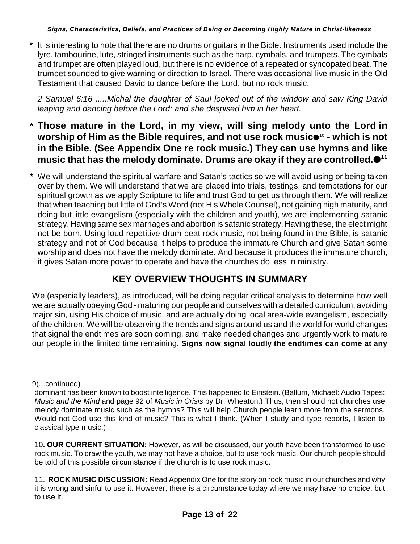**\*** It is interesting to note that there are no drums or guitars in the Bible. Instruments used include the lyre, tambourine, lute, stringed instruments such as the harp, cymbals, and trumpets. The cymbals and trumpet are often played loud, but there is no evidence of a repeated or syncopated beat. The trumpet sounded to give warning or direction to Israel. There was occasional live music in the Old Testament that caused David to dance before the Lord, but no rock music.

*2 Samuel 6:16 .....Michal the daughter of Saul looked out of the window and saw King David leaping and dancing before the Lord; and she despised him in her heart.*

- **\* Those mature in the Lord, in my view, will sing melody unto the Lord in worship of Him as the Bible requires, and not use rock music** $\bullet$ **<sup>10</sup> - which is not in the Bible. (See Appendix One re rock music.) They can use hymns and like music that has the melody dominate. Drums are okay if they are controlled. 11**
- **\*** We will understand the spiritual warfare and Satan's tactics so we will avoid using or being taken over by them. We will understand that we are placed into trials, testings, and temptations for our spiritual growth as we apply Scripture to life and trust God to get us through them. We will realize that when teaching but little of God's Word (not His Whole Counsel), not gaining high maturity, and doing but little evangelism (especially with the children and youth), we are implementing satanic strategy. Having same sex marriages and abortion is satanic strategy. Having these, the elect might not be born. Using loud repetitive drum beat rock music, not being found in the Bible, is satanic strategy and not of God because it helps to produce the immature Church and give Satan some worship and does not have the melody dominate. And because it produces the immature church, it gives Satan more power to operate and have the churches do less in ministry.

# **KEY OVERVIEW THOUGHTS IN SUMMARY**

We (especially leaders), as introduced, will be doing regular critical analysis to determine how well we are actually obeying God - maturing our people and ourselves with a detailed curriculum, avoiding major sin, using His choice of music, and are actually doing local area-wide evangelism, especially of the children. We will be observing the trends and signs around us and the world for world changes that signal the endtimes are soon coming, and make needed changes and urgently work to mature our people in the limited time remaining. **Signs now signal loudly the endtimes can come at any**

<sup>9(...</sup>continued)

dominant has been known to boost intelligence. This happened to Einstein. (Ballum, Michael: Audio Tapes: *Music and the Mind* and page 92 of *Music in Crisis* by Dr. Wheaton.) Thus, then should not churches use melody dominate music such as the hymns? This will help Church people learn more from the sermons. Would not God use this kind of music? This is what I think. (When I study and type reports, I listen to classical type music.)

<sup>10</sup>**. OUR CURRENT SITUATION:** However, as will be discussed, our youth have been transformed to use rock music. To draw the youth, we may not have a choice, but to use rock music. Our church people should be told of this possible circumstance if the church is to use rock music.

<sup>11.</sup> **ROCK MUSIC DISCUSSION:** Read Appendix One for the story on rock music in our churches and why it is wrong and sinful to use it. However, there is a circumstance today where we may have no choice, but to use it.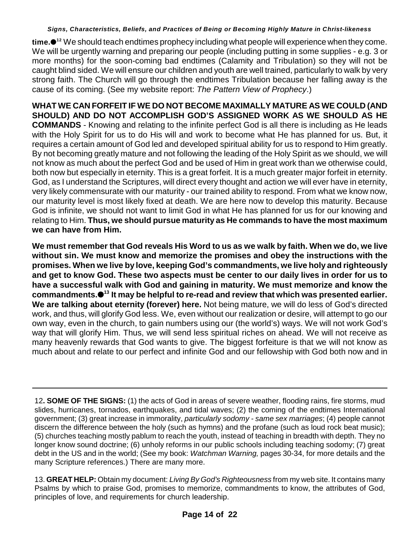time.●<sup>12</sup> We should teach endtimes prophecy including what people will experience when they come. We will be urgently warning and preparing our people (including putting in some supplies - e.g. 3 or more months) for the soon-coming bad endtimes (Calamity and Tribulation) so they will not be caught blind sided. We will ensure our children and youth are well trained, particularly to walk by very strong faith. The Church will go through the endtimes Tribulation because her falling away is the cause of its coming. (See my website report: *The Pattern View of Prophecy*.)

**WHAT WE CAN FORFEIT IF WE DO NOT BECOME MAXIMALLY MATURE AS WE COULD (AND SHOULD) AND DO NOT ACCOMPLISH GOD'S ASSIGNED WORK AS WE SHOULD AS HE COMMANDS** - Knowing and relating to the infinite perfect God is all there is including as He leads with the Holy Spirit for us to do His will and work to become what He has planned for us. But, it requires a certain amount of God led and developed spiritual ability for us to respond to Him greatly. By not becoming greatly mature and not following the leading of the Holy Spirit as we should, we will not know as much about the perfect God and be used of Him in great work than we otherwise could, both now but especially in eternity. This is a great forfeit. It is a much greater major forfeit in eternity. God, as I understand the Scriptures, will direct every thought and action we will ever have in eternity, very likely commensurate with our maturity - our trained ability to respond. From what we know now, our maturity level is most likely fixed at death. We are here now to develop this maturity. Because God is infinite, we should not want to limit God in what He has planned for us for our knowing and relating to Him. **Thus, we should pursue maturity as He commands to have the most maximum we can have from Him.**

**We must remember that God reveals His Word to us as we walk by faith. When we do, we live without sin. We must know and memorize the promises and obey the instructions with the promises. When we live by love, keeping God's commandments, we live holy and righteously and get to know God. These two aspects must be center to our daily lives in order for us to have a successful walk with God and gaining in maturity. We must memorize and know the commandments. It may be helpful to re-read and review that which was presented earlier. 13 We are talking about eternity (forever) here.** Not being mature, we will do less of God's directed work, and thus, will glorify God less. We, even without our realization or desire, will attempt to go our own way, even in the church, to gain numbers using our (the world's) ways. We will not work God's way that will glorify Him. Thus, we will send less spiritual riches on ahead. We will not receive as many heavenly rewards that God wants to give. The biggest forfeiture is that we will not know as much about and relate to our perfect and infinite God and our fellowship with God both now and in

<sup>12</sup>**. SOME OF THE SIGNS:** (1) the acts of God in areas of severe weather, flooding rains, fire storms, mud slides, hurricanes, tornados, earthquakes, and tidal waves; (2) the coming of the endtimes International government; (3) great increase in immorality, *particularly sodomy - same sex marriages*; (4) people cannot discern the difference between the holy (such as hymns) and the profane (such as loud rock beat music); (5) churches teaching mostly pablum to reach the youth, instead of teaching in breadth with depth. They no longer know sound doctrine; (6) unholy reforms in our public schools including teaching sodomy; (7) great debt in the US and in the world; (See my book: *Watchman Warning,* pages 30-34, for more details and the many Scripture references.) There are many more.

<sup>13.</sup> **GREAT HELP:** Obtain my document: *Living By God's Righteousness* from my web site. It contains many Psalms by which to praise God, promises to memorize, commandments to know, the attributes of God, principles of love, and requirements for church leadership.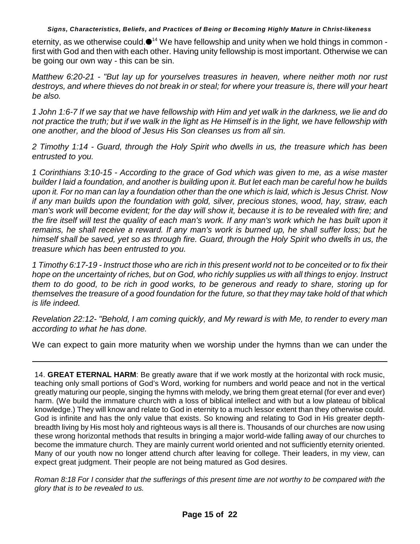eternity, as we otherwise could. $\bullet$ <sup>14</sup> We have fellowship and unity when we hold things in common first with God and then with each other. Having unity fellowship is most important. Otherwise we can be going our own way - this can be sin.

*Matthew 6:20-21 - "But lay up for yourselves treasures in heaven, where neither moth nor rust destroys, and where thieves do not break in or steal; for where your treasure is, there will your heart be also.*

*1 John 1:6-7 If we say that we have fellowship with Him and yet walk in the darkness, we lie and do not practice the truth; but if we walk in the light as He Himself is in the light, we have fellowship with one another, and the blood of Jesus His Son cleanses us from all sin.*

*2 Timothy 1:14 - Guard, through the Holy Spirit who dwells in us, the treasure which has been entrusted to you.*

*1 Corinthians 3:10-15 - According to the grace of God which was given to me, as a wise master builder I laid a foundation, and another is building upon it. But let each man be careful how he builds upon it. For no man can lay a foundation other than the one which is laid, which is Jesus Christ. Now if any man builds upon the foundation with gold, silver, precious stones, wood, hay, straw, each man's work will become evident; for the day will show it, because it is to be revealed with fire; and the fire itself will test the quality of each man's work. If any man's work which he has built upon it remains, he shall receive a reward. If any man's work is burned up, he shall suffer loss; but he himself shall be saved, yet so as through fire. Guard, through the Holy Spirit who dwells in us, the treasure which has been entrusted to you.*

*1 Timothy 6:17-19 - Instruct those who are rich in this present world not to be conceited or to fix their hope on the uncertainty of riches, but on God, who richly supplies us with all things to enjoy. Instruct them to do good, to be rich in good works, to be generous and ready to share, storing up for themselves the treasure of a good foundation for the future, so that they may take hold of that which is life indeed.*

*Revelation 22:12- "Behold, I am coming quickly, and My reward is with Me, to render to every man according to what he has done.*

We can expect to gain more maturity when we worship under the hymns than we can under the

14. **GREAT ETERNAL HARM**: Be greatly aware that if we work mostly at the horizontal with rock music, teaching only small portions of God's Word, working for numbers and world peace and not in the vertical greatly maturing our people, singing the hymns with melody, we bring them great eternal (for ever and ever) harm. (We build the immature church with a loss of biblical intellect and with but a low plateau of biblical knowledge.) They will know and relate to God in eternity to a much lessor extent than they otherwise could. God is infinite and has the only value that exists. So knowing and relating to God in His greater depthbreadth living by His most holy and righteous ways is all there is. Thousands of our churches are now using these wrong horizontal methods that results in bringing a major world-wide falling away of our churches to become the immature church. They are mainly current world oriented and not sufficiently eternity oriented. Many of our youth now no longer attend church after leaving for college. Their leaders, in my view, can expect great judgment. Their people are not being matured as God desires.

*Roman 8:18 For I consider that the sufferings of this present time are not worthy to be compared with the glory that is to be revealed to us.*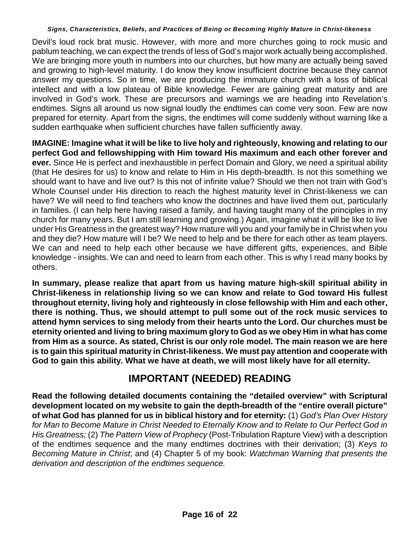Devil's loud rock brat music. However, with more and more churches going to rock music and pablum teaching, we can expect the trends of less of God's major work actually being accomplished. We are bringing more youth in numbers into our churches, but how many are actually being saved and growing to high-level maturity. I do know they know insufficient doctrine because they cannot answer my questions. So in time, we are producing the immature church with a loss of biblical intellect and with a low plateau of Bible knowledge. Fewer are gaining great maturity and are involved in God's work. These are precursors and warnings we are heading into Revelation's endtimes. Signs all around us now signal loudly the endtimes can come very soon. Few are now prepared for eternity. Apart from the signs, the endtimes will come suddenly without warning like a sudden earthquake when sufficient churches have fallen sufficiently away.

**IMAGINE: Imagine what it will be like to live holy and righteously, knowing and relating to our perfect God and fellowshipping with Him toward His maximum and each other forever and ever.** Since He is perfect and inexhaustible in perfect Domain and Glory, we need a spiritual ability (that He desires for us) to know and relate to Him in His depth-breadth. Is not this something we should want to have and live out? Is this not of infinite value? Should we then not train with God's Whole Counsel under His direction to reach the highest maturity level in Christ-likeness we can have? We will need to find teachers who know the doctrines and have lived them out, particularly in families. (I can help here having raised a family, and having taught many of the principles in my church for many years. But I am still learning and growing.) Again, imagine what it will be like to live under His Greatness in the greatest way? How mature will you and your family be in Christ when you and they die? How mature will I be? We need to help and be there for each other as team players. We can and need to help each other because we have different gifts, experiences, and Bible knowledge - insights. We can and need to learn from each other. This is why I read many books by others.

**In summary, please realize that apart from us having mature high-skill spiritual ability in Christ-likeness in relationship living so we can know and relate to God toward His fullest throughout eternity, living holy and righteously in close fellowship with Him and each other, there is nothing. Thus, we should attempt to pull some out of the rock music services to attend hymn services to sing melody from their hearts unto the Lord. Our churches must be eternity oriented and living to bring maximum glory to God as we obey Him in what has come from Him as a source. As stated, Christ is our only role model. The main reason we are here is to gain this spiritual maturity in Christ-likeness. We must pay attention and cooperate with God to gain this ability. What we have at death, we will most likely have for all eternity.**

# **IMPORTANT (NEEDED) READING**

**Read the following detailed documents containing the "detailed overview" with Scriptural development located on my website to gain the depth-breadth of the "entire overall picture" of what God has planned for us in biblical history and for eternity:** (1) *God's Plan Over History for Man to Become Mature in Christ Needed to Eternally Know and to Relate to Our Perfect God in His Greatness;* (2) *The Pattern View of Prophecy* (Post-Tribulation Rapture View) with a description of the endtimes sequence and the many endtimes doctrines with their derivation; (3) *Keys to Becoming Mature in Christ*; and (4) Chapter 5 of my book: *Watchman Warning that presents the derivation and description of the endtimes sequence.*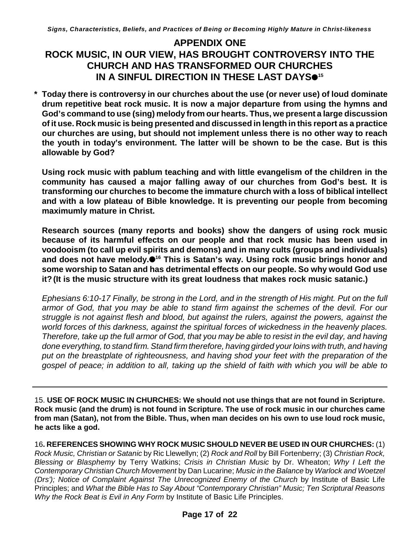## **APPENDIX ONE ROCK MUSIC, IN OUR VIEW, HAS BROUGHT CONTROVERSY INTO THE CHURCH AND HAS TRANSFORMED OUR CHURCHES IN A SINFUL DIRECTION IN THESE LAST DAYS 15**

**\* Today there is controversy in our churches about the use (or never use) of loud dominate drum repetitive beat rock music. It is now a major departure from using the hymns and God's command to use (sing) melody from our hearts. Thus, we present a large discussion of it use. Rock music is being presented and discussed in length in this report as a practice our churches are using, but should not implement unless there is no other way to reach the youth in today's environment. The latter will be shown to be the case. But is this allowable by God?**

**Using rock music with pablum teaching and with little evangelism of the children in the community has caused a major falling away of our churches from God's best. It is transforming our churches to become the immature church with a loss of biblical intellect and with a low plateau of Bible knowledge. It is preventing our people from becoming maximumly mature in Christ.** 

**Research sources (many reports and books) show the dangers of using rock music because of its harmful effects on our people and that rock music has been used in voodooism (to call up evil spirits and demons) and in many cults (groups and individuals)** and does not have melody.<sup><sup>16</sup> This is Satan's way. Using rock music brings honor and</sup> **some worship to Satan and has detrimental effects on our people. So why would God use it?(It is the music structure with its great loudness that makes rock music satanic.)**

*Ephesians 6:10-17 Finally, be strong in the Lord, and in the strength of His might. Put on the full armor of God, that you may be able to stand firm against the schemes of the devil. For our struggle is not against flesh and blood, but against the rulers, against the powers, against the world forces of this darkness, against the spiritual forces of wickedness in the heavenly places. Therefore, take up the full armor of God, that you may be able to resist in the evil day, and having done everything, to stand firm. Stand firm therefore, having girded your loins with truth, and having put on the breastplate of righteousness, and having shod your feet with the preparation of the gospel of peace; in addition to all, taking up the shield of faith with which you will be able to*

15. **USE OF ROCK MUSIC IN CHURCHES: We should not use things that are not found in Scripture. Rock music (and the drum) is not found in Scripture. The use of rock music in our churches came from man (Satan), not from the Bible. Thus, when man decides on his own to use loud rock music, he acts like a god.**

16**. REFERENCES SHOWING WHY ROCK MUSIC SHOULD NEVER BE USED IN OUR CHURCHES:** (1) *Rock Music, Christian or Satanic* by Ric Llewellyn; (2) *Rock and Roll* by Bill Fortenberry; (3) *Christian Rock, Blessing or Blasphemy* by Terry Watkins; *Crisis in Christian Music* by Dr. Wheaton; *Why I Left the Contemporary Christian Church Movement* by Dan Lucarine; *Music in the Balance* by *Warlock and Woetzel (Drs'); Notice of Complaint Against The Unrecognized Enemy of the Church* by Institute of Basic Life Principles; and *What the Bible Has to Say About "Contemporary Christian" Music; Ten Scriptural Reasons Why the Rock Beat is Evil in Any Form* by Institute of Basic Life Principles.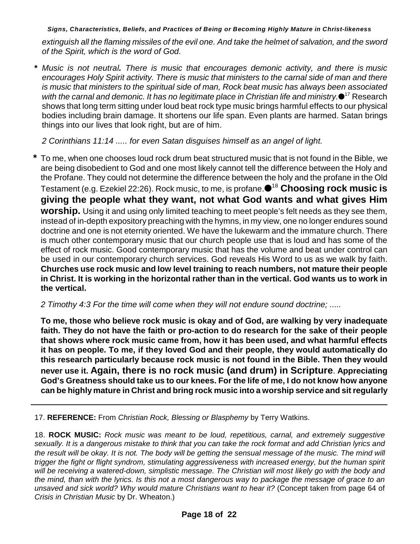*extinguish all the flaming missiles of the evil one. And take the helmet of salvation, and the sword of the Spirit, which is the word of God.*

 **\*** *Music is not neutral. There is music that encourages demonic activity, and there is music encourages Holy Spirit activity. There is music that ministers to the carnal side of man and there is music that ministers to the spiritual side of man, Rock beat music has always been associated with the carnal and demonic. It has no legitimate place in Christian life and ministry.<sup>17</sup> Research* shows that long term sitting under loud beat rock type music brings harmful effects to our physical bodies including brain damage. It shortens our life span. Even plants are harmed. Satan brings things into our lives that look right, but are of him.

*2 Corinthians 11:14 ..... for even Satan disguises himself as an angel of light.*

**\*** To me, when one chooses loud rock drum beat structured music that is not found in the Bible, we are being disobedient to God and one most likely cannot tell the difference between the Holy and the Profane. They could not determine the difference between the holy and the profane in the Old Testament (e.g. Ezekiel 22:26). Rock music, to me, is profane. <sup>18</sup> Choosing rock music is **giving the people what they want, not what God wants and what gives Him worship.** Using it and using only limited teaching to meet people's felt needs as they see them, instead of in-depth expository preaching with the hymns, in my view, one no longer endures sound doctrine and one is not eternity oriented. We have the lukewarm and the immature church. There is much other contemporary music that our church people use that is loud and has some of the effect of rock music. Good contemporary music that has the volume and beat under control can be used in our contemporary church services. God reveals His Word to us as we walk by faith. **Churches use rock music and low level training to reach numbers, not mature their people in Christ. It is working in the horizontal rather than in the vertical. God wants us to work in the vertical.**

*2 Timothy 4:3 For the time will come when they will not endure sound doctrine; .....*

**To me, those who believe rock music is okay and of God, are walking by very inadequate faith. They do not have the faith or pro-action to do research for the sake of their people that shows where rock music came from, how it has been used, and what harmful effects it has on people. To me, if they loved God and their people, they would automatically do this research particularly because rock music is not found in the Bible. Then they would never use it. Again, there is no rock music (and drum) in Scripture**. **Appreciating God's Greatness should take us to our knees. For the life of me, I do not know how anyone can be highly mature in Christ and bring rock music into a worship service and sit regularly**

17. **REFERENCE:** From *Christian Rock, Blessing or Blasphemy* by Terry Watkins.

18. **ROCK MUSIC:** *Rock music was meant to be loud, repetitious, carnal, and extremely suggestive sexually. It is a dangerous mistake to think that you can take the rock format and add Christian lyrics and the result will be okay. It is not. The body will be getting the sensual message of the music. The mind will trigger the fight or flight syndrom, stimulating aggressiveness with increased energy, but the human spirit will be receiving a watered-down, simplistic message. The Christian will most likely go with the body and the mind, than with the lyrics. Is this not a most dangerous way to package the message of grace to an unsaved and sick world? Why would mature Christians want to hear it?* (Concept taken from page 64 of *Crisis in Christian Music* by Dr. Wheaton.)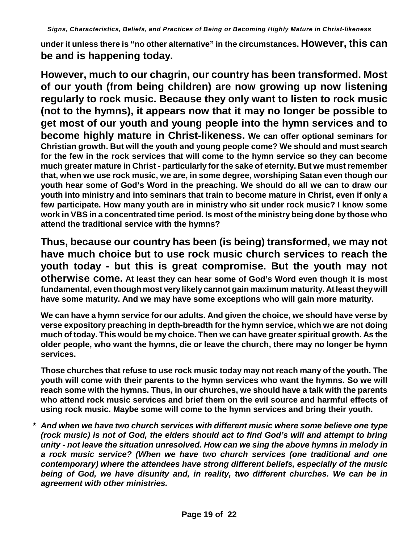**under it unless there is "no other alternative" in the circumstances. However, this can be and is happening today.** 

**However, much to our chagrin, our country has been transformed. Most of our youth (from being children) are now growing up now listening regularly to rock music. Because they only want to listen to rock music (not to the hymns), it appears now that it may no longer be possible to get most of our youth and young people into the hymn services and to become highly mature in Christ-likeness. We can offer optional seminars for Christian growth. But will the youth and young people come? We should and must search for the few in the rock services that will come to the hymn service so they can become much greater mature in Christ - particularly for the sake of eternity. But we must remember that, when we use rock music, we are, in some degree, worshiping Satan even though our youth hear some of God's Word in the preaching. We should do all we can to draw our youth into ministry and into seminars that train to become mature in Christ, even if only a few participate. How many youth are in ministry who sit under rock music? I know some work in VBS in a concentrated time period. Is most of the ministry being done by those who attend the traditional service with the hymns?**

**Thus, because our country has been (is being) transformed, we may not have much choice but to use rock music church services to reach the youth today - but this is great compromise. But the youth may not otherwise come. At least they can hear some of God's Word even though it is most fundamental, even though most very likely cannot gain maximum maturity. At least theywill have some maturity. And we may have some exceptions who will gain more maturity.** 

**We can have a hymn service for our adults. And given the choice, we should have verse by verse expository preaching in depth-breadth for the hymn service, which we are not doing much of today. This would be my choice. Then we can have greater spiritual growth. As the older people, who want the hymns, die or leave the church, there may no longer be hymn services.**

**Those churches that refuse to use rock music today may not reach many of the youth. The youth will come with their parents to the hymn services who want the hymns. So we will reach some with the hymns. Thus, in our churches, we should have a talk with the parents who attend rock music services and brief them on the evil source and harmful effects of using rock music. Maybe some will come to the hymn services and bring their youth.**

**\*** *And when we have two church services with different music where some believe one type (rock music) is not of God, the elders should act to find God's will and attempt to bring unity - not leave the situation unresolved. How can we sing the above hymns in melody in a rock music service? (When we have two church services (one traditional and one contemporary) where the attendees have strong different beliefs, especially of the music being of God, we have disunity and, in reality, two different churches. We can be in agreement with other ministries.*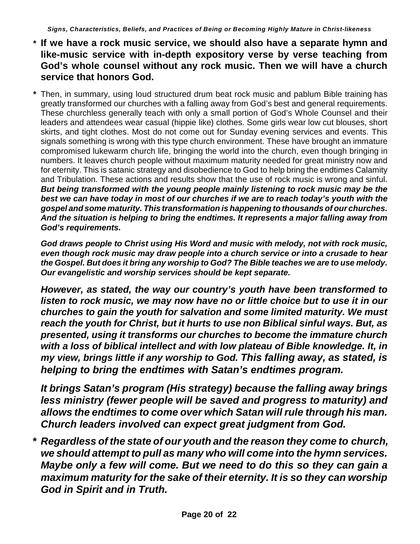- **\* If we have a rock music service, we should also have a separate hymn and like-music service with in-depth expository verse by verse teaching from God's whole counsel without any rock music. Then we will have a church service that honors God.**
- **\*** Then, in summary, using loud structured drum beat rock music and pablum Bible training has greatly transformed our churches with a falling away from God's best and general requirements. These churchless generally teach with only a small portion of God's Whole Counsel and their leaders and attendees wear casual (hippie like) clothes. Some girls wear low cut blouses, short skirts, and tight clothes. Most do not come out for Sunday evening services and events. This signals something is wrong with this type church environment. These have brought an immature compromised lukewarm church life, bringing the world into the church, even though bringing in numbers. It leaves church people without maximum maturity needed for great ministry now and for eternity. This is satanic strategy and disobedience to God to help bring the endtimes Calamity and Tribulation. These actions and results show that the use of rock music is wrong and sinful. *But being transformed with the young people mainly listening to rock music may be the best we can have today in most of our churches if we are to reach today's youth with the gospel and some maturity. This transformation is happening to thousands of our churches. And the situation is helping to bring the endtimes. It represents a major falling away from God's requirements.*

*God draws people to Christ using His Word and music with melody, not with rock music, even though rock music may draw people into a church service or into a crusade to hear the Gospel. But does it bring any worship to God? The Bible teaches we are to use melody. Our evangelistic and worship services should be kept separate.*

*However, as stated, the way our country's youth have been transformed to listen to rock music, we may now have no or little choice but to use it in our churches to gain the youth for salvation and some limited maturity. We must reach the youth for Christ, but it hurts to use non Biblical sinful ways. But, as presented, using it transforms our churches to become the immature church with a loss of biblical intellect and with low plateau of Bible knowledge. It, in my view, brings little if any worship to God. This falling away, as stated, is helping to bring the endtimes with Satan's endtimes program.*

*It brings Satan's program (His strategy) because the falling away brings less ministry (fewer people will be saved and progress to maturity) and allows the endtimes to come over which Satan will rule through his man. Church leaders involved can expect great judgment from God.*

**\*** *Regardless of the state of our youth and the reason they come to church, we should attempt to pull as many who will come into the hymn services. Maybe only a few will come. But we need to do this so they can gain a maximum maturity for the sake of their eternity. It is so they can worship God in Spirit and in Truth.*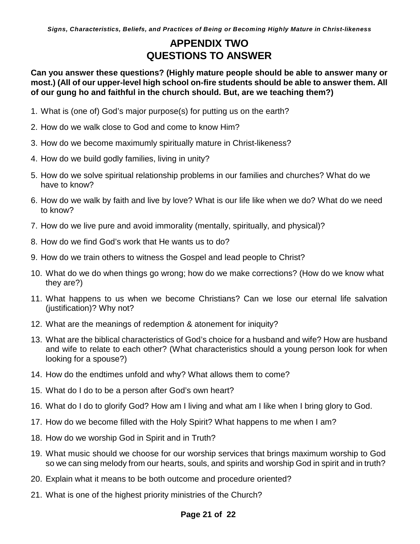# **APPENDIX TWO QUESTIONS TO ANSWER**

**Can you answer these questions? (Highly mature people should be able to answer many or most.) (All of our upper-level high school on-fire students should be able to answer them. All of our gung ho and faithful in the church should. But, are we teaching them?)**

- 1. What is (one of) God's major purpose(s) for putting us on the earth?
- 2. How do we walk close to God and come to know Him?
- 3. How do we become maximumly spiritually mature in Christ-likeness?
- 4. How do we build godly families, living in unity?
- 5. How do we solve spiritual relationship problems in our families and churches? What do we have to know?
- 6. How do we walk by faith and live by love? What is our life like when we do? What do we need to know?
- 7. How do we live pure and avoid immorality (mentally, spiritually, and physical)?
- 8. How do we find God's work that He wants us to do?
- 9. How do we train others to witness the Gospel and lead people to Christ?
- 10. What do we do when things go wrong; how do we make corrections? (How do we know what they are?)
- 11. What happens to us when we become Christians? Can we lose our eternal life salvation (justification)? Why not?
- 12. What are the meanings of redemption & atonement for iniquity?
- 13. What are the biblical characteristics of God's choice for a husband and wife? How are husband and wife to relate to each other? (What characteristics should a young person look for when looking for a spouse?)
- 14. How do the endtimes unfold and why? What allows them to come?
- 15. What do I do to be a person after God's own heart?
- 16. What do I do to glorify God? How am I living and what am I like when I bring glory to God.
- 17. How do we become filled with the Holy Spirit? What happens to me when I am?
- 18. How do we worship God in Spirit and in Truth?
- 19. What music should we choose for our worship services that brings maximum worship to God so we can sing melody from our hearts, souls, and spirits and worship God in spirit and in truth?
- 20. Explain what it means to be both outcome and procedure oriented?
- 21. What is one of the highest priority ministries of the Church?

### **Page 21 of 22**